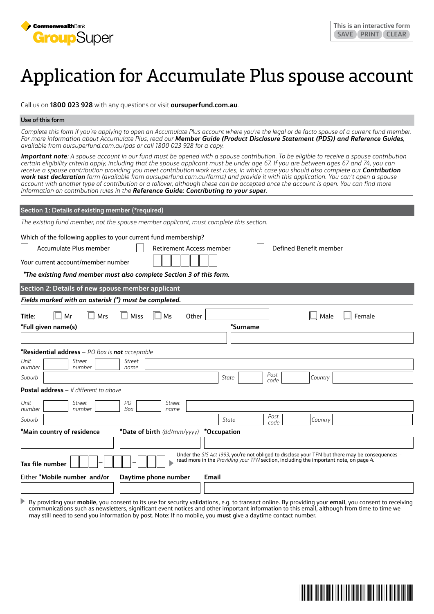

# Application for Accumulate Plus spouse account

Call us on **1800 023 928** with any questions or visit **oursuperfund.com.au**.

### **Use of this form**

*Complete this form if you're applying to open an Accumulate Plus account where you're the legal or de facto spouse of a current fund member. For more information about Accumulate Plus, read our Member Guide (Product Disclosure Statement (PDS)) and Reference Guides, available from oursuperfund.com.au/pds or call 1800 023 928 for a copy.*

*Important note: A spouse account in our fund must be opened with a spouse contribution. To be eligible to receive a spouse contribution certain eligibility criteria apply, including that the spouse applicant must be under age 67. If you are between ages 67 and 74, you can*  receive a spouse contribution providing you meet contribution work test rules, in which case you should also complete our **Contribution** *work test declaration form (available from oursuperfund.com.au/forms) and provide it with this application. You can't open a spouse account with another type of contribution or a rollover, although these can be accepted once the account is open. You can find more information on contribution rules in the Reference Guide: Contributing to your super.*

| Section 1: Details of existing member (*required)                                                                                                                                                                                                                    |  |  |  |  |  |  |
|----------------------------------------------------------------------------------------------------------------------------------------------------------------------------------------------------------------------------------------------------------------------|--|--|--|--|--|--|
| The existing fund member, not the spouse member applicant, must complete this section.                                                                                                                                                                               |  |  |  |  |  |  |
| Which of the following applies to your current fund membership?<br>Accumulate Plus member<br>Defined Benefit member<br><b>Retirement Access member</b><br>Your current account/member number<br>*The existing fund member must also complete Section 3 of this form. |  |  |  |  |  |  |
| Section 2: Details of new spouse member applicant                                                                                                                                                                                                                    |  |  |  |  |  |  |
| Fields marked with an asterisk (*) must be completed.                                                                                                                                                                                                                |  |  |  |  |  |  |
| Title:<br>l⊟ Mr<br>Mrs<br>Ms<br>Male<br>Female<br>Miss<br>Other<br>*Surname<br>*Full given name(s)                                                                                                                                                                   |  |  |  |  |  |  |
|                                                                                                                                                                                                                                                                      |  |  |  |  |  |  |
| <b>*Residential address</b> $-$ PO Box is <b>not</b> acceptable<br>Unit<br>Street<br>Street<br>number<br>number<br>name                                                                                                                                              |  |  |  |  |  |  |
| Post<br>Suburb<br>Country<br>State<br>code                                                                                                                                                                                                                           |  |  |  |  |  |  |
| Postal address - if different to above                                                                                                                                                                                                                               |  |  |  |  |  |  |
| PО<br>Unit<br>Street<br>Street<br>number<br>Box<br>number<br>name                                                                                                                                                                                                    |  |  |  |  |  |  |
| Post<br>Suburb<br>State<br>Country<br>code                                                                                                                                                                                                                           |  |  |  |  |  |  |
| *Main country of residence<br>*Date of birth (dd/mm/yyyy)<br>*Occupation                                                                                                                                                                                             |  |  |  |  |  |  |
|                                                                                                                                                                                                                                                                      |  |  |  |  |  |  |
| Under the SIS Act 1993, you're not obliged to disclose your TFN but there may be consequences -<br>read more in the Providing your TFN section, including the important note, on page 4.<br>Tax file number                                                          |  |  |  |  |  |  |
| Either *Mobile number and/or<br>Daytime phone number<br>Email                                                                                                                                                                                                        |  |  |  |  |  |  |
|                                                                                                                                                                                                                                                                      |  |  |  |  |  |  |

 $\blacktriangleright$ By providing your **mobile**, you consent to its use for security validations, e.g. to transact online. By providing your **email**, you consent to receiving communications such as newsletters, significant event notices and other important information to this email, although from time to time we may still need to send you information by post. Note: If no mobile, you **must** give a daytime contact number.

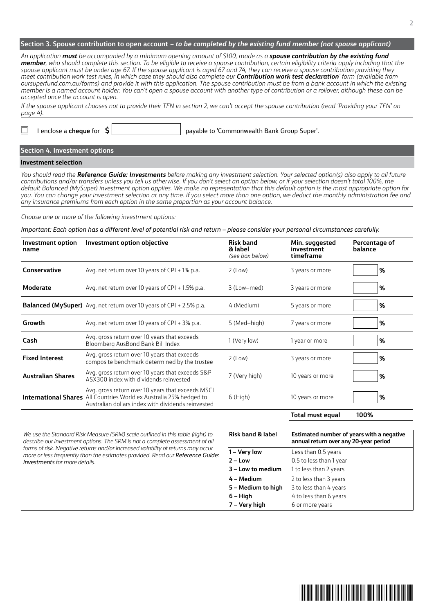# **Section 3. Spouse contribution to open account** *– to be completed by the existing fund member (not spouse applicant)*

*An application must be accompanied by a minimum opening amount of \$100, made as a spouse contribution by the existing fund member, who should complete this section. To be eligible to receive a spouse contribution, certain eligibility criteria apply including that the*  spouse applicant must be under age 67. If the spouse applicant is aged 67 and 74, they can receive a spouse contribution providing they *meet contribution work test rules, in which case they should also complete our Contribution work test declaration' form (available from oursuperfund.com.au/forms) and provide it with this application. The spouse contribution must be from a bank account in which the existing member is a named account holder. You can't open a spouse account with another type of contribution or a rollover, although these can be accepted once the account is open.*

*If the spouse applicant chooses not to provide their TFN in section 2, we can't accept the spouse contribution (read 'Providing your TFN' on page 4).* 

I enclose a **cheque** for **\$** payable to 'Commonwealth Bank Group Super'.

**Section 4. Investment options**

### **Investment selection**

*You should read the Reference Guide: Investments before making any investment selection. Your selected option(s) also apply to all future contributions and/or transfers unless you tell us otherwise. If you don't select an option below, or if your selection doesn't total 100%, the default Balanced (MySuper) investment option applies. We make no representation that this default option is the most appropriate option for you. You can change your investment selection at any time. If you select more than one option, we deduct the monthly administration fee and any insurance premiums from each option in the same proportion as your account balance.*

*Choose one or more of the following investment options:*

*Important: Each option has a different level of potential risk and return – please consider your personal circumstances carefully.*

| Investment option<br>name | Investment option objective                                                                                                                                                           | <b>Risk band</b><br>& label<br>(see box below) | Min. suggested<br>investment<br>timeframe | Percentage of<br>balance |
|---------------------------|---------------------------------------------------------------------------------------------------------------------------------------------------------------------------------------|------------------------------------------------|-------------------------------------------|--------------------------|
| Conservative              | Avg. net return over 10 years of CPI + 1% p.a.                                                                                                                                        | $2$ (Low)                                      | 3 years or more                           | %                        |
| Moderate                  | Avg. net return over 10 years of CPI + 1.5% p.a.                                                                                                                                      | 3 (Low-med)                                    | 3 years or more                           | $\frac{9}{6}$            |
|                           | Balanced (MySuper) Avg. net return over 10 years of CPI + 2.5% p.a.                                                                                                                   | 4 (Medium)                                     | 5 years or more                           | %                        |
| Growth                    | Avg. net return over 10 years of CPI + 3% p.a.                                                                                                                                        | 5 (Med-high)                                   | 7 years or more                           | $\frac{9}{6}$            |
| Cash                      | Avg. gross return over 10 years that exceeds<br>Bloomberg AusBond Bank Bill Index                                                                                                     | 1 (Very low)                                   | 1 year or more                            | %                        |
| <b>Fixed Interest</b>     | Avg. gross return over 10 years that exceeds<br>composite benchmark determined by the trustee                                                                                         | $2$ (Low)                                      | 3 years or more                           | %                        |
| <b>Australian Shares</b>  | Avg. gross return over 10 years that exceeds S&P<br>ASX300 index with dividends reinvested                                                                                            | 7 (Very high)                                  | 10 years or more                          | $\frac{9}{6}$            |
|                           | Avg. gross return over 10 years that exceeds MSCI<br><b>International Shares</b> All Countries World ex Australia 25% hedged to<br>Australian dollars index with dividends reinvested | $6$ (High)                                     | 10 years or more                          | $\%$                     |

**Total must equal 100%**

*We use the Standard Risk Measure (SRM) scale outlined in this table (right) to describe our investment options. The SRM is not a complete assessment of all forms of risk. Negative returns and/or increased volatility of returns may occur more or less frequently than the estimates provided. Read our Reference Guide: Investments for more details.*

| <b>Risk band &amp; label</b> | Estimated number of years with a negative<br>annual return over any 20-year period |  |
|------------------------------|------------------------------------------------------------------------------------|--|
| 1 – Very low                 | Less than 0.5 years                                                                |  |
| $2 - Low$                    | 0.5 to less than 1 year                                                            |  |
| 3 - Low to medium            | 1 to less than 2 years                                                             |  |
| 4 – Medium                   | 2 to less than 3 years                                                             |  |
| 5 - Medium to high           | 3 to less than 4 years                                                             |  |
| $6 - High$                   | 4 to less than 6 years                                                             |  |
| 7 – Very high                | 6 or more years                                                                    |  |

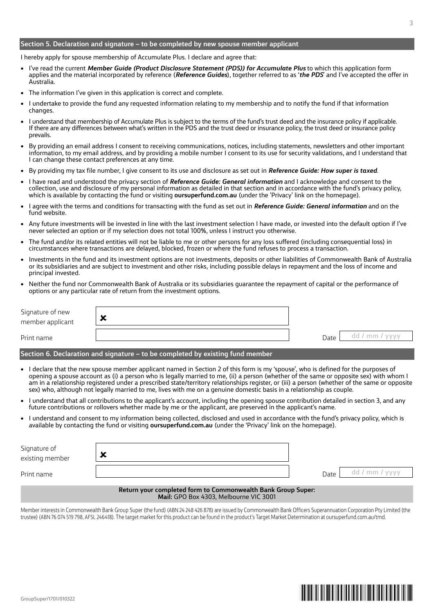# **Section 5. Declaration and signature – to be completed by new spouse member applicant**

I hereby apply for spouse membership of Accumulate Plus. I declare and agree that:

- I've read the current *Member Guide (Product Disclosure Statement (PDS)) for Accumulate Plus* to which this application form applies and the material incorporated by reference (*Reference Guides*), together referred to as '*the PDS*' and I've accepted the offer in Australia.
- The information I've given in this application is correct and complete.
- I undertake to provide the fund any requested information relating to my membership and to notify the fund if that information changes.
- I understand that membership of Accumulate Plus is subject to the terms of the fund's trust deed and the insurance policy if applicable. If there are any differences between what's written in the PDS and the trust deed or insurance policy, the trust deed or insurance policy prevails.
- By providing an email address I consent to receiving communications, notices, including statements, newsletters and other important information, to my email address, and by providing a mobile number I consent to its use for security validations, and I understand that I can change these contact preferences at any time.
- By providing my tax file number, I give consent to its use and disclosure as set out in *Reference Guide: How super is taxed*.
- I have read and understood the privacy section of *Reference Guide: General information* and I acknowledge and consent to the collection, use and disclosure of my personal information as detailed in that section and in accordance with the fund's privacy policy, which is available by contacting the fund or visiting **oursuperfund.com.au** (under the 'Privacy' link on the homepage).
- I agree with the terms and conditions for transacting with the fund as set out in *Reference Guide: General information* and on the fund website.
- Any future investments will be invested in line with the last investment selection I have made, or invested into the default option if I've never selected an option or if my selection does not total 100%, unless I instruct you otherwise.
- The fund and/or its related entities will not be liable to me or other persons for any loss suffered (including consequential loss) in circumstances where transactions are delayed, blocked, frozen or where the fund refuses to process a transaction.
- Investments in the fund and its investment options are not investments, deposits or other liabilities of Commonwealth Bank of Australia or its subsidiaries and are subject to investment and other risks, including possible delays in repayment and the loss of income and principal invested.
- Neither the fund nor Commonwealth Bank of Australia or its subsidiaries guarantee the repayment of capital or the performance of options or any particular rate of return from the investment options.

| Signature of new<br>member applicant | ∽ |      |                |
|--------------------------------------|---|------|----------------|
| Print name                           |   | Date | dd / mm / yyyy |

# **Section 6. Declaration and signature – to be completed by existing fund member**

- I declare that the new spouse member applicant named in Section 2 of this form is my 'spouse', who is defined for the purposes of opening a spouse account as (i) a person who is legally married to me, (ii) a person (whether of the same or opposite sex) with whom I am in a relationship registered under a prescribed state/territory relationships register, or (iii) a person (whether of the same or opposite sex) who, although not legally married to me, lives with me on a genuine domestic basis in a relationship as couple.
- I understand that all contributions to the applicant's account, including the opening spouse contribution detailed in section 3, and any future contributions or rollovers whether made by me or the applicant, are preserved in the applicant's name.
- I understand and consent to my information being collected, disclosed and used in accordance with the fund's privacy policy, which is available by contacting the fund or visiting **oursuperfund.com.au** (under the 'Privacy' link on the homepage).

| Signature of<br>existing member | ∽ |      |                |
|---------------------------------|---|------|----------------|
| Print name                      |   | Date | dd / mm / yyyy |

#### **Return your completed form to Commonwealth Bank Group Super: Mail:** GPO Box 4303, Melbourne VIC 3001

Member interests in Commonwealth Bank Group Super (the fund) (ABN 24 248 426 878) are issued by Commonwealth Bank Officers Superannuation Corporation Pty Limited (the trustee) (ABN 76 074 519 798, AFSL 246418). The target market for this product can be found in the product's Target Market Determination at oursuperfund.com.au/tmd.